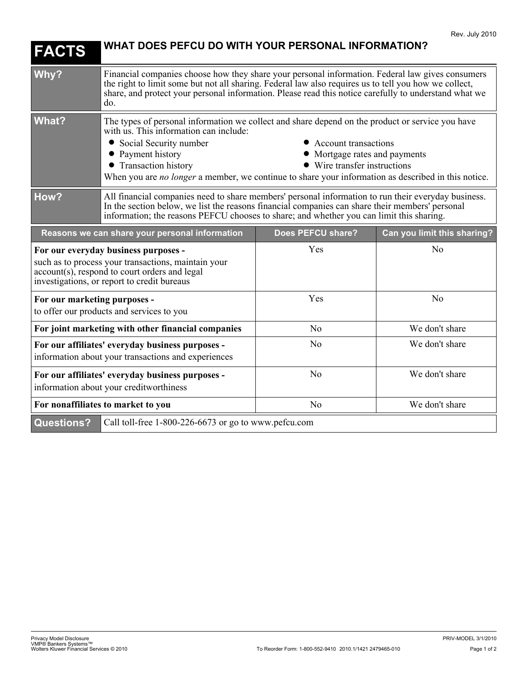| <b>FACTS</b>                                                                                                                                                                                | WHAT DOES PEFCU DO WITH YOUR PERSONAL INFORMATION?                                                                                                                                                                                                                                                                                                                                                                     |                   |                             |
|---------------------------------------------------------------------------------------------------------------------------------------------------------------------------------------------|------------------------------------------------------------------------------------------------------------------------------------------------------------------------------------------------------------------------------------------------------------------------------------------------------------------------------------------------------------------------------------------------------------------------|-------------------|-----------------------------|
| Why?                                                                                                                                                                                        | Financial companies choose how they share your personal information. Federal law gives consumers<br>the right to limit some but not all sharing. Federal law also requires us to tell you how we collect,<br>share, and protect your personal information. Please read this notice carefully to understand what we<br>do.                                                                                              |                   |                             |
| <b>What?</b>                                                                                                                                                                                | The types of personal information we collect and share depend on the product or service you have<br>with us. This information can include:<br>• Social Security number<br>• Account transactions<br>• Payment history<br>• Mortgage rates and payments<br>• Transaction history<br>• Wire transfer instructions<br>When you are no longer a member, we continue to share your information as described in this notice. |                   |                             |
| How?                                                                                                                                                                                        | All financial companies need to share members' personal information to run their everyday business.<br>In the section below, we list the reasons financial companies can share their members' personal<br>information; the reasons PEFCU chooses to share; and whether you can limit this sharing.                                                                                                                     |                   |                             |
| Reasons we can share your personal information                                                                                                                                              |                                                                                                                                                                                                                                                                                                                                                                                                                        | Does PEFCU share? | Can you limit this sharing? |
| For our everyday business purposes -<br>such as to process your transactions, maintain your<br>account(s), respond to court orders and legal<br>investigations, or report to credit bureaus |                                                                                                                                                                                                                                                                                                                                                                                                                        | Yes               | No                          |
| For our marketing purposes -<br>to offer our products and services to you                                                                                                                   |                                                                                                                                                                                                                                                                                                                                                                                                                        | Yes               | No                          |
| For joint marketing with other financial companies                                                                                                                                          |                                                                                                                                                                                                                                                                                                                                                                                                                        | No                | We don't share              |
| For our affiliates' everyday business purposes -<br>information about your transactions and experiences                                                                                     |                                                                                                                                                                                                                                                                                                                                                                                                                        | N <sub>0</sub>    | We don't share              |
| For our affiliates' everyday business purposes -<br>information about your creditworthiness                                                                                                 |                                                                                                                                                                                                                                                                                                                                                                                                                        | No                | We don't share              |
| For nonaffiliates to market to you                                                                                                                                                          |                                                                                                                                                                                                                                                                                                                                                                                                                        | N <sub>0</sub>    | We don't share              |
| <b>Questions?</b>                                                                                                                                                                           | Call toll-free 1-800-226-6673 or go to www.pefcu.com                                                                                                                                                                                                                                                                                                                                                                   |                   |                             |